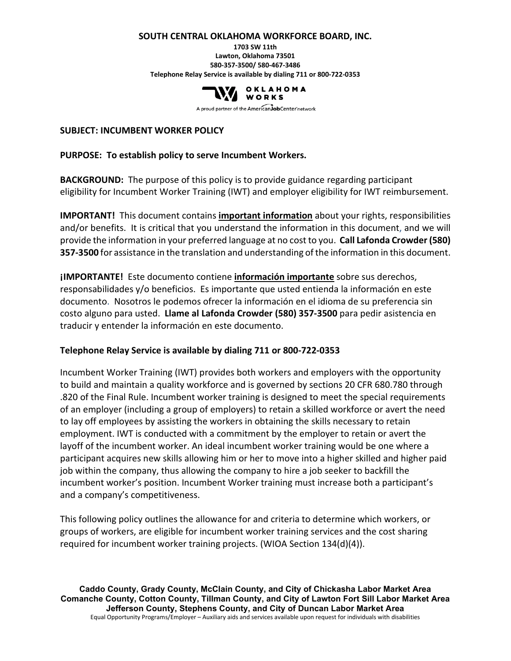#### **SOUTH CENTRAL OKLAHOMA WORKFORCE BOARD, INC.**

**1703 SW 11th Lawton, Oklahoma 73501 580-357-3500/ 580-467-3486 Telephone Relay Service is available by dialing 711 or 800-722-0353**



A proud partner of the AmericanJobCenter network

### **SUBJECT: INCUMBENT WORKER POLICY**

### **PURPOSE: To establish policy to serve Incumbent Workers.**

**BACKGROUND:** The purpose of this policy is to provide guidance regarding participant eligibility for Incumbent Worker Training (IWT) and employer eligibility for IWT reimbursement.

**IMPORTANT!** This document contains **important information** about your rights, responsibilities and/or benefits. It is critical that you understand the information in this document, and we will provide the information in your preferred language at no cost to you. **Call Lafonda Crowder (580) 357-3500** for assistance in the translation and understanding of the information in this document.

**¡IMPORTANTE!** Este documento contiene **información importante** sobre sus derechos, responsabilidades y/o beneficios. Es importante que usted entienda la información en este documento. Nosotros le podemos ofrecer la información en el idioma de su preferencia sin costo alguno para usted. **Llame al Lafonda Crowder (580) 357-3500** para pedir asistencia en traducir y entender la información en este documento.

### **Telephone Relay Service is available by dialing 711 or 800-722-0353**

Incumbent Worker Training (IWT) provides both workers and employers with the opportunity to build and maintain a quality workforce and is governed by sections 20 CFR 680.780 through .820 of the Final Rule. Incumbent worker training is designed to meet the special requirements of an employer (including a group of employers) to retain a skilled workforce or avert the need to lay off employees by assisting the workers in obtaining the skills necessary to retain employment. IWT is conducted with a commitment by the employer to retain or avert the layoff of the incumbent worker. An ideal incumbent worker training would be one where a participant acquires new skills allowing him or her to move into a higher skilled and higher paid job within the company, thus allowing the company to hire a job seeker to backfill the incumbent worker's position. Incumbent Worker training must increase both a participant's and a company's competitiveness.

This following policy outlines the allowance for and criteria to determine which workers, or groups of workers, are eligible for incumbent worker training services and the cost sharing required for incumbent worker training projects. (WIOA Section 134(d)(4)).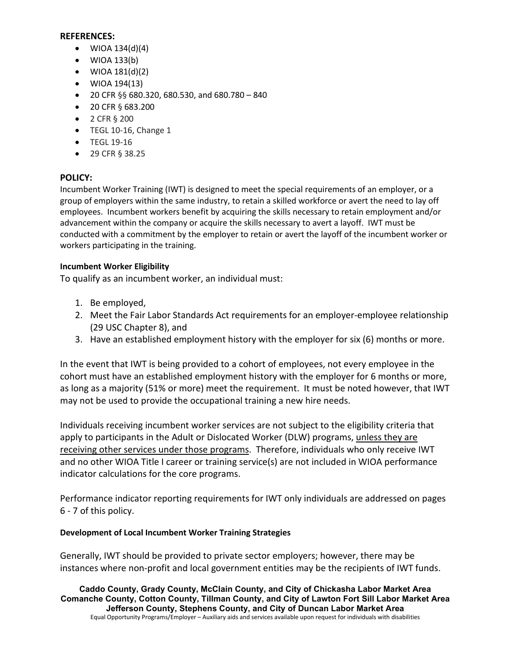#### **REFERENCES:**

- $\bullet$  WIOA 134(d)(4)
- $\bullet$  WIOA 133(b)
- WIOA  $181(d)(2)$
- WIOA 194(13)
- 20 CFR §§ 680.320, 680.530, and 680.780 840
- 20 CFR § 683.200
- 2 CFR § 200
- TEGL 10-16, Change 1
- TEGL 19-16
- 29 CFR § 38.25

### **POLICY:**

Incumbent Worker Training (IWT) is designed to meet the special requirements of an employer, or a group of employers within the same industry, to retain a skilled workforce or avert the need to lay off employees. Incumbent workers benefit by acquiring the skills necessary to retain employment and/or advancement within the company or acquire the skills necessary to avert a layoff. IWT must be conducted with a commitment by the employer to retain or avert the layoff of the incumbent worker or workers participating in the training.

#### **Incumbent Worker Eligibility**

To qualify as an incumbent worker, an individual must:

- 1. Be employed,
- 2. Meet the Fair Labor Standards Act requirements for an employer-employee relationship (29 USC Chapter 8), and
- 3. Have an established employment history with the employer for six (6) months or more.

In the event that IWT is being provided to a cohort of employees, not every employee in the cohort must have an established employment history with the employer for 6 months or more, as long as a majority (51% or more) meet the requirement. It must be noted however, that IWT may not be used to provide the occupational training a new hire needs.

Individuals receiving incumbent worker services are not subject to the eligibility criteria that apply to participants in the Adult or Dislocated Worker (DLW) programs, unless they are receiving other services under those programs. Therefore, individuals who only receive IWT and no other WIOA Title I career or training service(s) are not included in WIOA performance indicator calculations for the core programs.

Performance indicator reporting requirements for IWT only individuals are addressed on pages 6 - 7 of this policy.

### **Development of Local Incumbent Worker Training Strategies**

Generally, IWT should be provided to private sector employers; however, there may be instances where non-profit and local government entities may be the recipients of IWT funds.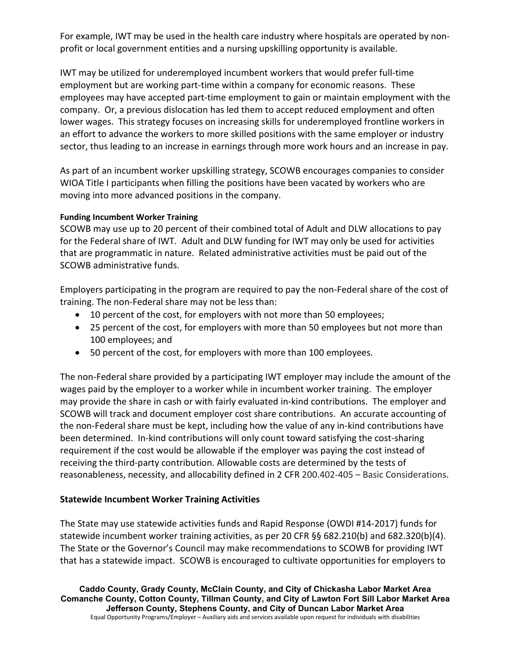For example, IWT may be used in the health care industry where hospitals are operated by nonprofit or local government entities and a nursing upskilling opportunity is available.

IWT may be utilized for underemployed incumbent workers that would prefer full-time employment but are working part-time within a company for economic reasons. These employees may have accepted part-time employment to gain or maintain employment with the company. Or, a previous dislocation has led them to accept reduced employment and often lower wages. This strategy focuses on increasing skills for underemployed frontline workers in an effort to advance the workers to more skilled positions with the same employer or industry sector, thus leading to an increase in earnings through more work hours and an increase in pay.

As part of an incumbent worker upskilling strategy, SCOWB encourages companies to consider WIOA Title I participants when filling the positions have been vacated by workers who are moving into more advanced positions in the company.

### **Funding Incumbent Worker Training**

SCOWB may use up to 20 percent of their combined total of Adult and DLW allocations to pay for the Federal share of IWT. Adult and DLW funding for IWT may only be used for activities that are programmatic in nature. Related administrative activities must be paid out of the SCOWB administrative funds.

Employers participating in the program are required to pay the non-Federal share of the cost of training. The non-Federal share may not be less than:

- 10 percent of the cost, for employers with not more than 50 employees;
- 25 percent of the cost, for employers with more than 50 employees but not more than 100 employees; and
- 50 percent of the cost, for employers with more than 100 employees.

The non-Federal share provided by a participating IWT employer may include the amount of the wages paid by the employer to a worker while in incumbent worker training. The employer may provide the share in cash or with fairly evaluated in-kind contributions. The employer and SCOWB will track and document employer cost share contributions. An accurate accounting of the non-Federal share must be kept, including how the value of any in-kind contributions have been determined. In-kind contributions will only count toward satisfying the cost-sharing requirement if the cost would be allowable if the employer was paying the cost instead of receiving the third-party contribution. Allowable costs are determined by the tests of reasonableness, necessity, and allocability defined in 2 CFR 200.402-405 – Basic Considerations.

## **Statewide Incumbent Worker Training Activities**

The State may use statewide activities funds and Rapid Response (OWDI #14-2017) funds for statewide incumbent worker training activities, as per 20 CFR §§ 682.210(b) and 682.320(b)(4). The State or the Governor's Council may make recommendations to SCOWB for providing IWT that has a statewide impact. SCOWB is encouraged to cultivate opportunities for employers to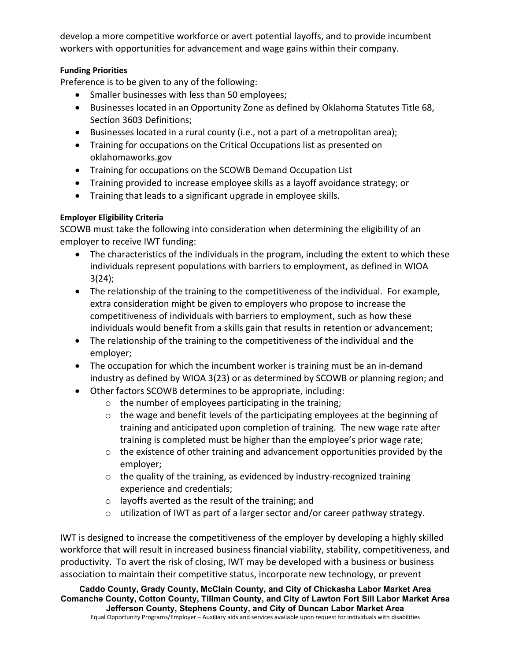develop a more competitive workforce or avert potential layoffs, and to provide incumbent workers with opportunities for advancement and wage gains within their company.

## **Funding Priorities**

Preference is to be given to any of the following:

- Smaller businesses with less than 50 employees;
- Businesses located in an Opportunity Zone as defined by Oklahoma Statutes Title 68, Section 3603 Definitions;
- Businesses located in a rural county (i.e., not a part of a metropolitan area);
- Training for occupations on the Critical Occupations list as presented on oklahomaworks.gov
- Training for occupations on the SCOWB Demand Occupation List
- Training provided to increase employee skills as a layoff avoidance strategy; or
- Training that leads to a significant upgrade in employee skills.

# **Employer Eligibility Criteria**

SCOWB must take the following into consideration when determining the eligibility of an employer to receive IWT funding:

- The characteristics of the individuals in the program, including the extent to which these individuals represent populations with barriers to employment, as defined in WIOA 3(24);
- The relationship of the training to the competitiveness of the individual. For example, extra consideration might be given to employers who propose to increase the competitiveness of individuals with barriers to employment, such as how these individuals would benefit from a skills gain that results in retention or advancement;
- The relationship of the training to the competitiveness of the individual and the employer;
- The occupation for which the incumbent worker is training must be an in-demand industry as defined by WIOA 3(23) or as determined by SCOWB or planning region; and
- Other factors SCOWB determines to be appropriate, including:
	- o the number of employees participating in the training;
	- $\circ$  the wage and benefit levels of the participating employees at the beginning of training and anticipated upon completion of training. The new wage rate after training is completed must be higher than the employee's prior wage rate;
	- o the existence of other training and advancement opportunities provided by the employer;
	- $\circ$  the quality of the training, as evidenced by industry-recognized training experience and credentials;
	- o layoffs averted as the result of the training; and
	- $\circ$  utilization of IWT as part of a larger sector and/or career pathway strategy.

IWT is designed to increase the competitiveness of the employer by developing a highly skilled workforce that will result in increased business financial viability, stability, competitiveness, and productivity. To avert the risk of closing, IWT may be developed with a business or business association to maintain their competitive status, incorporate new technology, or prevent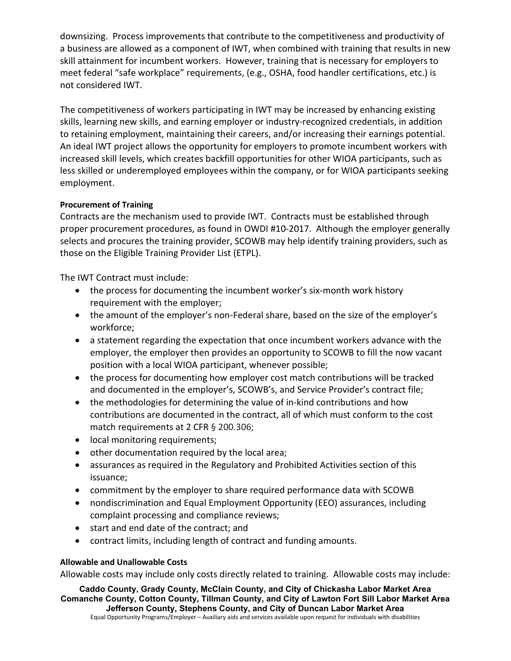downsizing. Process improvements that contribute to the competitiveness and productivity of a business are allowed as a component of IWT, when combined with training that results in new skill attainment for incumbent workers. However, training that is necessary for employers to meet federal "safe workplace" requirements, (e.g., OSHA, food handler certifications, etc.) is not considered IWT.

The competitiveness of workers participating in IWT may be increased by enhancing existing skills, learning new skills, and earning employer or industry-recognized credentials, in addition to retaining employment, maintaining their careers, and/or increasing their earnings potential. An ideal IWT project allows the opportunity for employers to promote incumbent workers with increased skill levels, which creates backfill opportunities for other WIOA participants, such as less skilled or underemployed employees within the company, or for WIOA participants seeking employment.

## **Procurement of Training**

Contracts are the mechanism used to provide IWT. Contracts must be established through proper procurement procedures, as found in OWDI #10-2017. Although the employer generally selects and procures the training provider, SCOWB may help identify training providers, such as those on the Eligible Training Provider List (ETPL).

The IWT Contract must include:

- the process for documenting the incumbent worker's six-month work history requirement with the employer;
- the amount of the employer's non-Federal share, based on the size of the employer's workforce;
- a statement regarding the expectation that once incumbent workers advance with the employer, the employer then provides an opportunity to SCOWB to fill the now vacant position with a local WIOA participant, whenever possible;
- the process for documenting how employer cost match contributions will be tracked and documented in the employer's, SCOWB's, and Service Provider's contract file;
- the methodologies for determining the value of in-kind contributions and how contributions are documented in the contract, all of which must conform to the cost match requirements at 2 CFR § 200.306;
- local monitoring requirements;
- other documentation required by the local area;
- assurances as required in the Regulatory and Prohibited Activities section of this issuance;
- commitment by the employer to share required performance data with SCOWB
- nondiscrimination and Equal Employment Opportunity (EEO) assurances, including complaint processing and compliance reviews;
- start and end date of the contract; and
- contract limits, including length of contract and funding amounts.

## **Allowable and Unallowable Costs**

Allowable costs may include only costs directly related to training. Allowable costs may include: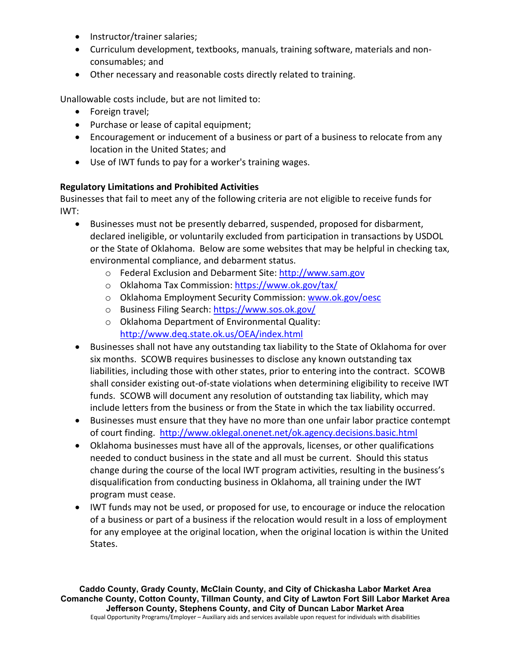- Instructor/trainer salaries;
- Curriculum development, textbooks, manuals, training software, materials and nonconsumables; and
- Other necessary and reasonable costs directly related to training.

Unallowable costs include, but are not limited to:

- Foreign travel;
- Purchase or lease of capital equipment;
- Encouragement or inducement of a business or part of a business to relocate from any location in the United States; and
- Use of IWT funds to pay for a worker's training wages.

### **Regulatory Limitations and Prohibited Activities**

Businesses that fail to meet any of the following criteria are not eligible to receive funds for IWT:

- Businesses must not be presently debarred, suspended, proposed for disbarment, declared ineligible, or voluntarily excluded from participation in transactions by USDOL or the State of Oklahoma. Below are some websites that may be helpful in checking tax, environmental compliance, and debarment status.
	- o Federal Exclusion and Debarment Site[: http://www.sam.gov](http://www.sam.gov/)
	- o Oklahoma Tax Commission: <https://www.ok.gov/tax/>
	- o Oklahoma Employment Security Commission: [www.ok.gov/oesc](http://www.ok.gov/oesc)
	- o Business Filing Search:<https://www.sos.ok.gov/>
	- o Oklahoma Department of Environmental Quality: <http://www.deq.state.ok.us/OEA/index.html>
- Businesses shall not have any outstanding tax liability to the State of Oklahoma for over six months. SCOWB requires businesses to disclose any known outstanding tax liabilities, including those with other states, prior to entering into the contract. SCOWB shall consider existing out-of-state violations when determining eligibility to receive IWT funds. SCOWB will document any resolution of outstanding tax liability, which may include letters from the business or from the State in which the tax liability occurred.
- Businesses must ensure that they have no more than one unfair labor practice contempt of court finding. <http://www.oklegal.onenet.net/ok.agency.decisions.basic.html>
- Oklahoma businesses must have all of the approvals, licenses, or other qualifications needed to conduct business in the state and all must be current. Should this status change during the course of the local IWT program activities, resulting in the business's disqualification from conducting business in Oklahoma, all training under the IWT program must cease.
- IWT funds may not be used, or proposed for use, to encourage or induce the relocation of a business or part of a business if the relocation would result in a loss of employment for any employee at the original location, when the original location is within the United States.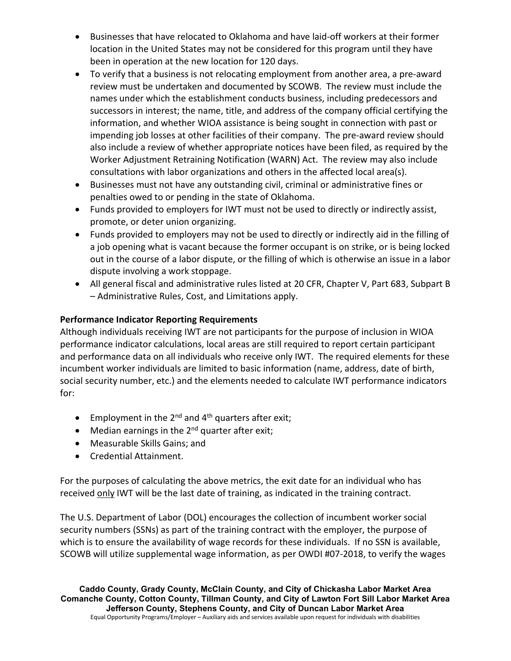- Businesses that have relocated to Oklahoma and have laid-off workers at their former location in the United States may not be considered for this program until they have been in operation at the new location for 120 days.
- To verify that a business is not relocating employment from another area, a pre-award review must be undertaken and documented by SCOWB. The review must include the names under which the establishment conducts business, including predecessors and successors in interest; the name, title, and address of the company official certifying the information, and whether WIOA assistance is being sought in connection with past or impending job losses at other facilities of their company. The pre-award review should also include a review of whether appropriate notices have been filed, as required by the Worker Adjustment Retraining Notification (WARN) Act. The review may also include consultations with labor organizations and others in the affected local area(s).
- Businesses must not have any outstanding civil, criminal or administrative fines or penalties owed to or pending in the state of Oklahoma.
- Funds provided to employers for IWT must not be used to directly or indirectly assist, promote, or deter union organizing.
- Funds provided to employers may not be used to directly or indirectly aid in the filling of a job opening what is vacant because the former occupant is on strike, or is being locked out in the course of a labor dispute, or the filling of which is otherwise an issue in a labor dispute involving a work stoppage.
- All general fiscal and administrative rules listed at 20 CFR, Chapter V, Part 683, Subpart B – Administrative Rules, Cost, and Limitations apply.

# **Performance Indicator Reporting Requirements**

Although individuals receiving IWT are not participants for the purpose of inclusion in WIOA performance indicator calculations, local areas are still required to report certain participant and performance data on all individuals who receive only IWT. The required elements for these incumbent worker individuals are limited to basic information (name, address, date of birth, social security number, etc.) and the elements needed to calculate IWT performance indicators for:

- Employment in the  $2^{nd}$  and  $4^{th}$  quarters after exit;
- Median earnings in the  $2^{nd}$  quarter after exit;
- Measurable Skills Gains; and
- Credential Attainment.

For the purposes of calculating the above metrics, the exit date for an individual who has received only IWT will be the last date of training, as indicated in the training contract.

The U.S. Department of Labor (DOL) encourages the collection of incumbent worker social security numbers (SSNs) as part of the training contract with the employer, the purpose of which is to ensure the availability of wage records for these individuals. If no SSN is available, SCOWB will utilize supplemental wage information, as per OWDI #07-2018, to verify the wages